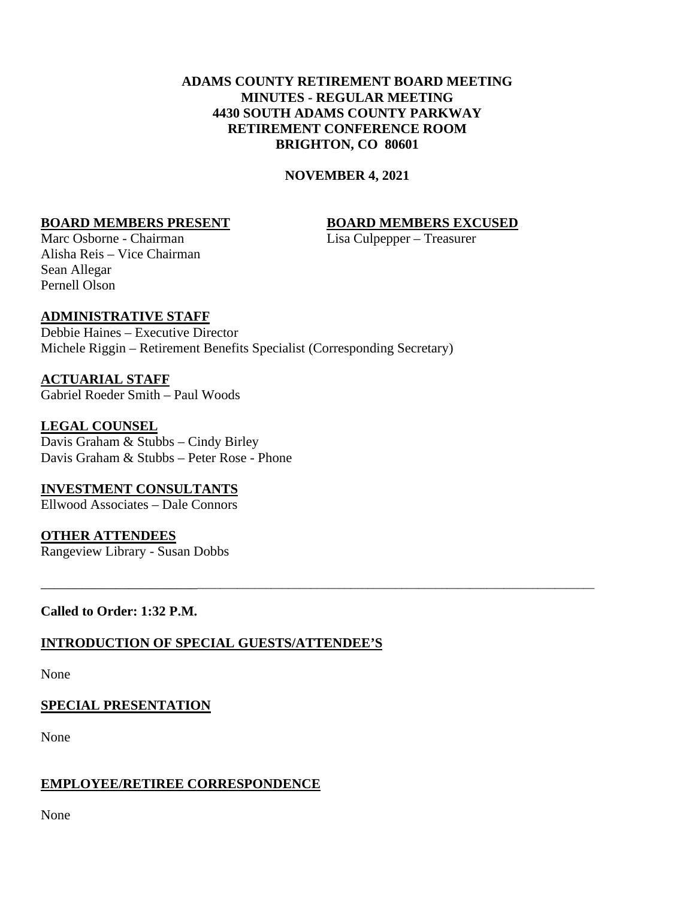# **ADAMS COUNTY RETIREMENT BOARD MEETING MINUTES - REGULAR MEETING 4430 SOUTH ADAMS COUNTY PARKWAY RETIREMENT CONFERENCE ROOM BRIGHTON, CO 80601**

#### **NOVEMBER 4, 2021**

\_\_\_\_\_\_\_\_\_\_\_\_\_\_\_\_\_\_\_\_\_\_\_\_\_\_\_\_\_\_\_\_\_\_\_\_\_\_\_\_\_\_\_\_\_\_\_\_\_\_\_\_\_\_\_\_\_\_\_\_\_\_\_\_\_\_\_\_\_\_\_\_\_\_\_\_\_\_\_\_\_\_\_\_\_\_\_\_\_\_\_\_\_

#### **BOARD MEMBERS PRESENT BOARD MEMBERS EXCUSED**

Marc Osborne - Chairman Lisa Culpepper – Treasurer Alisha Reis – Vice Chairman Sean Allegar Pernell Olson

# **ADMINISTRATIVE STAFF**

Debbie Haines – Executive Director Michele Riggin – Retirement Benefits Specialist (Corresponding Secretary)

**ACTUARIAL STAFF** Gabriel Roeder Smith – Paul Woods

**LEGAL COUNSEL** Davis Graham & Stubbs – Cindy Birley Davis Graham & Stubbs – Peter Rose - Phone

**INVESTMENT CONSULTANTS** Ellwood Associates – Dale Connors

**OTHER ATTENDEES** Rangeview Library - Susan Dobbs

**Called to Order: 1:32 P.M.**

# **INTRODUCTION OF SPECIAL GUESTS/ATTENDEE'S**

None

# **SPECIAL PRESENTATION**

None

# **EMPLOYEE/RETIREE CORRESPONDENCE**

None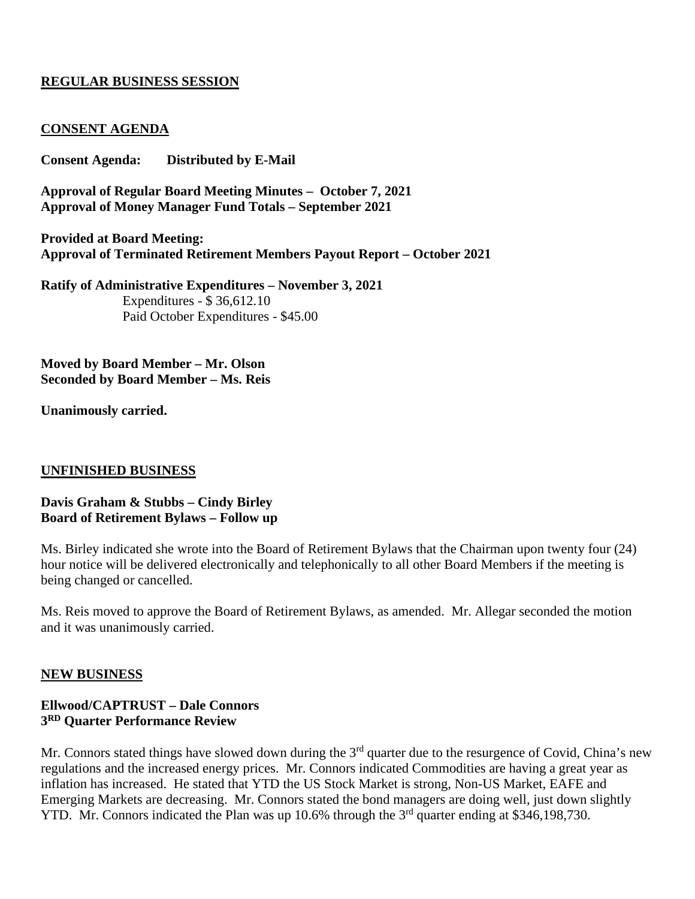# **REGULAR BUSINESS SESSION**

# **CONSENT AGENDA**

**Consent Agenda: Distributed by E-Mail**

**Approval of Regular Board Meeting Minutes – October 7, 2021 Approval of Money Manager Fund Totals – September 2021**

**Provided at Board Meeting: Approval of Terminated Retirement Members Payout Report – October 2021**

**Ratify of Administrative Expenditures – November 3, 2021**  Expenditures - \$ 36,612.10 Paid October Expenditures - \$45.00

**Moved by Board Member – Mr. Olson Seconded by Board Member – Ms. Reis**

**Unanimously carried.**

#### **UNFINISHED BUSINESS**

#### **Davis Graham & Stubbs – Cindy Birley Board of Retirement Bylaws – Follow up**

Ms. Birley indicated she wrote into the Board of Retirement Bylaws that the Chairman upon twenty four (24) hour notice will be delivered electronically and telephonically to all other Board Members if the meeting is being changed or cancelled.

Ms. Reis moved to approve the Board of Retirement Bylaws, as amended. Mr. Allegar seconded the motion and it was unanimously carried.

#### **NEW BUSINESS**

# **Ellwood/CAPTRUST – Dale Connors 3RD Quarter Performance Review**

Mr. Connors stated things have slowed down during the 3<sup>rd</sup> quarter due to the resurgence of Covid, China's new regulations and the increased energy prices. Mr. Connors indicated Commodities are having a great year as inflation has increased. He stated that YTD the US Stock Market is strong, Non-US Market, EAFE and Emerging Markets are decreasing. Mr. Connors stated the bond managers are doing well, just down slightly YTD. Mr. Connors indicated the Plan was up 10.6% through the 3<sup>rd</sup> quarter ending at \$346,198,730.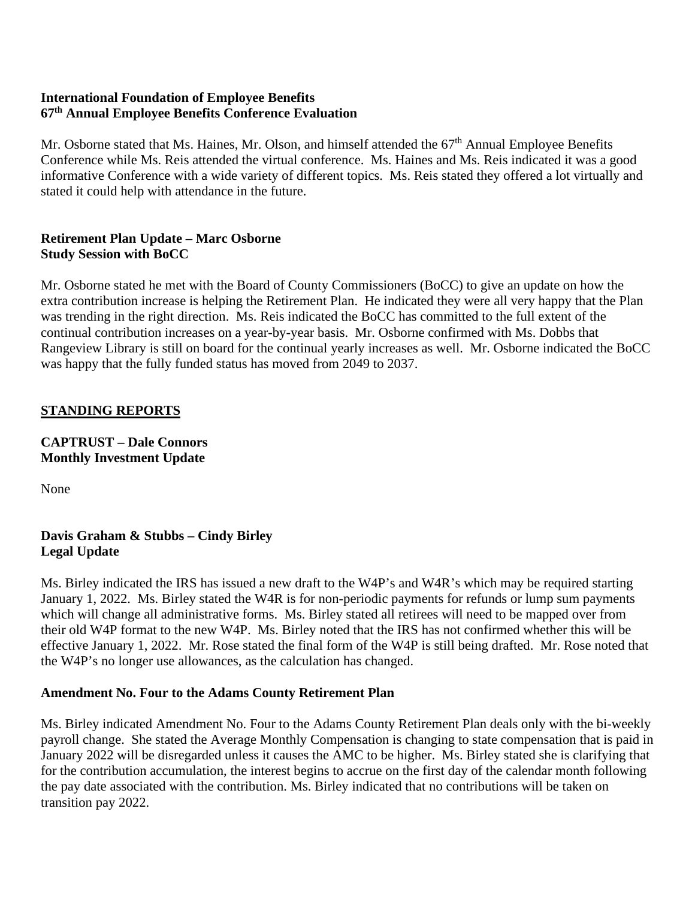# **International Foundation of Employee Benefits 67th Annual Employee Benefits Conference Evaluation**

Mr. Osborne stated that Ms. Haines, Mr. Olson, and himself attended the 67<sup>th</sup> Annual Employee Benefits Conference while Ms. Reis attended the virtual conference. Ms. Haines and Ms. Reis indicated it was a good informative Conference with a wide variety of different topics. Ms. Reis stated they offered a lot virtually and stated it could help with attendance in the future.

# **Retirement Plan Update – Marc Osborne Study Session with BoCC**

Mr. Osborne stated he met with the Board of County Commissioners (BoCC) to give an update on how the extra contribution increase is helping the Retirement Plan. He indicated they were all very happy that the Plan was trending in the right direction. Ms. Reis indicated the BoCC has committed to the full extent of the continual contribution increases on a year-by-year basis. Mr. Osborne confirmed with Ms. Dobbs that Rangeview Library is still on board for the continual yearly increases as well. Mr. Osborne indicated the BoCC was happy that the fully funded status has moved from 2049 to 2037.

# **STANDING REPORTS**

**CAPTRUST – Dale Connors Monthly Investment Update**

None

# **Davis Graham & Stubbs – Cindy Birley Legal Update**

Ms. Birley indicated the IRS has issued a new draft to the W4P's and W4R's which may be required starting January 1, 2022. Ms. Birley stated the W4R is for non-periodic payments for refunds or lump sum payments which will change all administrative forms. Ms. Birley stated all retirees will need to be mapped over from their old W4P format to the new W4P. Ms. Birley noted that the IRS has not confirmed whether this will be effective January 1, 2022. Mr. Rose stated the final form of the W4P is still being drafted. Mr. Rose noted that the W4P's no longer use allowances, as the calculation has changed.

# **Amendment No. Four to the Adams County Retirement Plan**

Ms. Birley indicated Amendment No. Four to the Adams County Retirement Plan deals only with the bi-weekly payroll change. She stated the Average Monthly Compensation is changing to state compensation that is paid in January 2022 will be disregarded unless it causes the AMC to be higher. Ms. Birley stated she is clarifying that for the contribution accumulation, the interest begins to accrue on the first day of the calendar month following the pay date associated with the contribution. Ms. Birley indicated that no contributions will be taken on transition pay 2022.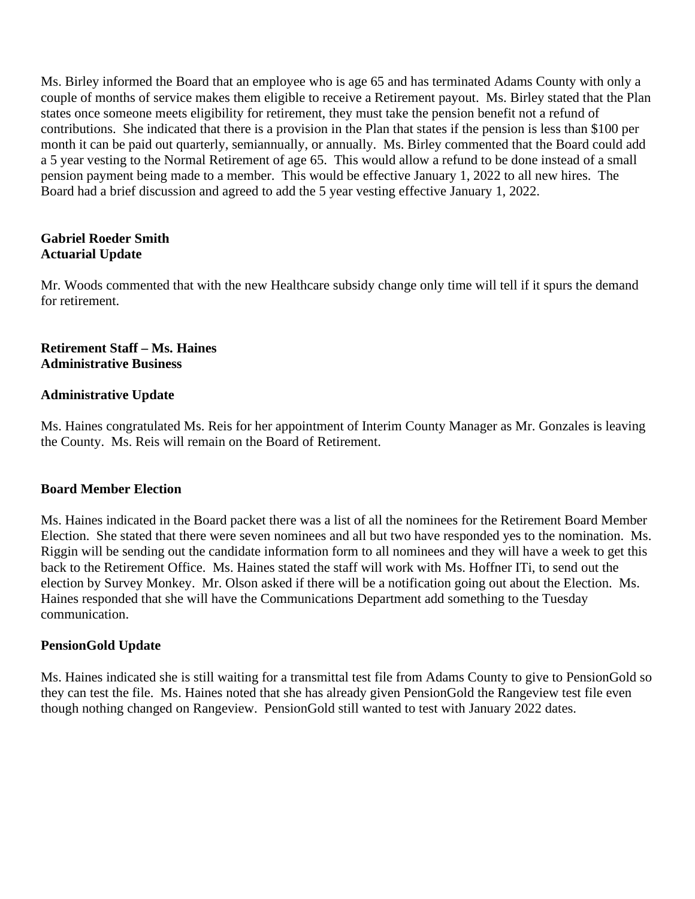Ms. Birley informed the Board that an employee who is age 65 and has terminated Adams County with only a couple of months of service makes them eligible to receive a Retirement payout. Ms. Birley stated that the Plan states once someone meets eligibility for retirement, they must take the pension benefit not a refund of contributions. She indicated that there is a provision in the Plan that states if the pension is less than \$100 per month it can be paid out quarterly, semiannually, or annually. Ms. Birley commented that the Board could add a 5 year vesting to the Normal Retirement of age 65. This would allow a refund to be done instead of a small pension payment being made to a member. This would be effective January 1, 2022 to all new hires. The Board had a brief discussion and agreed to add the 5 year vesting effective January 1, 2022.

# **Gabriel Roeder Smith Actuarial Update**

Mr. Woods commented that with the new Healthcare subsidy change only time will tell if it spurs the demand for retirement.

# **Retirement Staff – Ms. Haines Administrative Business**

# **Administrative Update**

Ms. Haines congratulated Ms. Reis for her appointment of Interim County Manager as Mr. Gonzales is leaving the County. Ms. Reis will remain on the Board of Retirement.

# **Board Member Election**

Ms. Haines indicated in the Board packet there was a list of all the nominees for the Retirement Board Member Election. She stated that there were seven nominees and all but two have responded yes to the nomination. Ms. Riggin will be sending out the candidate information form to all nominees and they will have a week to get this back to the Retirement Office. Ms. Haines stated the staff will work with Ms. Hoffner ITi, to send out the election by Survey Monkey. Mr. Olson asked if there will be a notification going out about the Election. Ms. Haines responded that she will have the Communications Department add something to the Tuesday communication.

# **PensionGold Update**

Ms. Haines indicated she is still waiting for a transmittal test file from Adams County to give to PensionGold so they can test the file. Ms. Haines noted that she has already given PensionGold the Rangeview test file even though nothing changed on Rangeview. PensionGold still wanted to test with January 2022 dates.